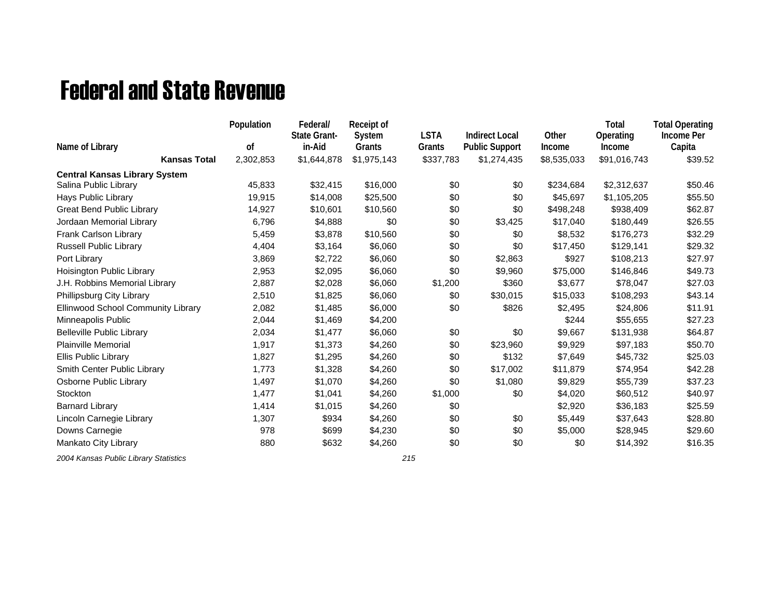## Federal and State Revenue

|                                      | Population | Federal/<br><b>State Grant-</b> | Receipt of<br>System | <b>LSTA</b> | <b>Indirect Local</b> | Other       | Total<br>Operating | <b>Total Operating</b><br>Income Per |
|--------------------------------------|------------|---------------------------------|----------------------|-------------|-----------------------|-------------|--------------------|--------------------------------------|
| Name of Library                      | οf         | in-Aid                          | Grants               | Grants      | <b>Public Support</b> | Income      | Income             | Capita                               |
| <b>Kansas Total</b>                  | 2,302,853  | \$1,644,878                     | \$1,975,143          | \$337,783   | \$1,274,435           | \$8,535,033 | \$91,016,743       | \$39.52                              |
| <b>Central Kansas Library System</b> |            |                                 |                      |             |                       |             |                    |                                      |
| Salina Public Library                | 45,833     | \$32,415                        | \$16,000             | \$0         | \$0                   | \$234,684   | \$2,312,637        | \$50.46                              |
| <b>Hays Public Library</b>           | 19,915     | \$14,008                        | \$25,500             | \$0         | \$0                   | \$45,697    | \$1,105,205        | \$55.50                              |
| <b>Great Bend Public Library</b>     | 14,927     | \$10,601                        | \$10,560             | \$0         | \$0                   | \$498,248   | \$938,409          | \$62.87                              |
| Jordaan Memorial Library             | 6,796      | \$4,888                         | \$0                  | \$0         | \$3,425               | \$17,040    | \$180,449          | \$26.55                              |
| Frank Carlson Library                | 5,459      | \$3,878                         | \$10,560             | \$0         | \$0                   | \$8,532     | \$176,273          | \$32.29                              |
| <b>Russell Public Library</b>        | 4,404      | \$3,164                         | \$6,060              | \$0         | \$0                   | \$17,450    | \$129,141          | \$29.32                              |
| Port Library                         | 3,869      | \$2,722                         | \$6,060              | \$0         | \$2,863               | \$927       | \$108,213          | \$27.97                              |
| Hoisington Public Library            | 2,953      | \$2,095                         | \$6,060              | \$0         | \$9,960               | \$75,000    | \$146,846          | \$49.73                              |
| J.H. Robbins Memorial Library        | 2,887      | \$2,028                         | \$6,060              | \$1,200     | \$360                 | \$3,677     | \$78,047           | \$27.03                              |
| Phillipsburg City Library            | 2,510      | \$1,825                         | \$6,060              | \$0         | \$30,015              | \$15,033    | \$108,293          | \$43.14                              |
| Ellinwood School Community Library   | 2,082      | \$1,485                         | \$6,000              | \$0         | \$826                 | \$2,495     | \$24,806           | \$11.91                              |
| Minneapolis Public                   | 2,044      | \$1,469                         | \$4,200              |             |                       | \$244       | \$55,655           | \$27.23                              |
| <b>Belleville Public Library</b>     | 2,034      | \$1,477                         | \$6,060              | \$0         | \$0                   | \$9,667     | \$131,938          | \$64.87                              |
| Plainville Memorial                  | 1,917      | \$1,373                         | \$4,260              | \$0         | \$23,960              | \$9,929     | \$97,183           | \$50.70                              |
| Ellis Public Library                 | 1,827      | \$1,295                         | \$4,260              | \$0         | \$132                 | \$7,649     | \$45,732           | \$25.03                              |
| Smith Center Public Library          | 1,773      | \$1,328                         | \$4,260              | \$0         | \$17,002              | \$11,879    | \$74,954           | \$42.28                              |
| Osborne Public Library               | 1,497      | \$1,070                         | \$4,260              | \$0         | \$1,080               | \$9,829     | \$55,739           | \$37.23                              |
| Stockton                             | 1,477      | \$1,041                         | \$4,260              | \$1,000     | \$0                   | \$4,020     | \$60,512           | \$40.97                              |
| <b>Barnard Library</b>               | 1,414      | \$1,015                         | \$4,260              | \$0         |                       | \$2,920     | \$36,183           | \$25.59                              |
| Lincoln Carnegie Library             | 1,307      | \$934                           | \$4,260              | \$0         | \$0                   | \$5,449     | \$37,643           | \$28.80                              |
| Downs Carnegie                       | 978        | \$699                           | \$4,230              | \$0         | \$0                   | \$5,000     | \$28,945           | \$29.60                              |
| Mankato City Library                 | 880        | \$632                           | \$4,260              | \$0         | \$0                   | \$0         | \$14,392           | \$16.35                              |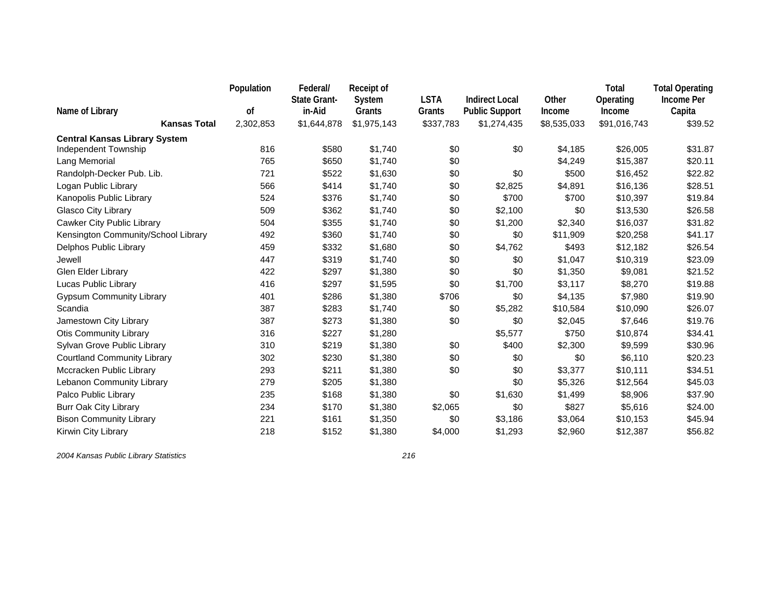|                                        | Population<br>0f | Federal/<br><b>State Grant-</b><br>in-Aid | Receipt of<br>System  | <b>LSTA</b>         | <b>Indirect Local</b>                | Other                 | Total<br>Operating     | <b>Total Operating</b><br><b>Income Per</b> |
|----------------------------------------|------------------|-------------------------------------------|-----------------------|---------------------|--------------------------------------|-----------------------|------------------------|---------------------------------------------|
| Name of Library<br><b>Kansas Total</b> | 2,302,853        | \$1,644,878                               | Grants<br>\$1,975,143 | Grants<br>\$337,783 | <b>Public Support</b><br>\$1,274,435 | Income<br>\$8,535,033 | Income<br>\$91,016,743 | Capita<br>\$39.52                           |
| <b>Central Kansas Library System</b>   |                  |                                           |                       |                     |                                      |                       |                        |                                             |
| Independent Township                   | 816              | \$580                                     | \$1,740               | \$0                 | \$0                                  | \$4,185               | \$26,005               | \$31.87                                     |
| Lang Memorial                          | 765              | \$650                                     | \$1,740               | \$0                 |                                      | \$4,249               | \$15,387               | \$20.11                                     |
| Randolph-Decker Pub. Lib.              | 721              | \$522                                     | \$1,630               | \$0                 | \$0                                  | \$500                 | \$16,452               | \$22.82                                     |
| Logan Public Library                   | 566              | \$414                                     | \$1,740               | \$0                 | \$2,825                              | \$4,891               | \$16,136               | \$28.51                                     |
| Kanopolis Public Library               | 524              | \$376                                     | \$1,740               | \$0                 | \$700                                | \$700                 | \$10,397               | \$19.84                                     |
| Glasco City Library                    | 509              | \$362                                     | \$1,740               | \$0                 | \$2,100                              | \$0                   | \$13,530               | \$26.58                                     |
| Cawker City Public Library             | 504              | \$355                                     | \$1,740               | \$0                 | \$1,200                              | \$2,340               | \$16,037               | \$31.82                                     |
| Kensington Community/School Library    | 492              | \$360                                     | \$1,740               | \$0                 | \$0                                  | \$11,909              | \$20,258               | \$41.17                                     |
| Delphos Public Library                 | 459              | \$332                                     | \$1,680               | \$0                 | \$4,762                              | \$493                 | \$12,182               | \$26.54                                     |
| Jewell                                 | 447              | \$319                                     | \$1,740               | \$0                 | \$0                                  | \$1,047               | \$10,319               | \$23.09                                     |
| Glen Elder Library                     | 422              | \$297                                     | \$1,380               | \$0                 | \$0                                  | \$1,350               | \$9,081                | \$21.52                                     |
| Lucas Public Library                   | 416              | \$297                                     | \$1,595               | \$0                 | \$1,700                              | \$3,117               | \$8,270                | \$19.88                                     |
| <b>Gypsum Community Library</b>        | 401              | \$286                                     | \$1,380               | \$706               | \$0                                  | \$4,135               | \$7,980                | \$19.90                                     |
| Scandia                                | 387              | \$283                                     | \$1,740               | \$0                 | \$5,282                              | \$10,584              | \$10,090               | \$26.07                                     |
| Jamestown City Library                 | 387              | \$273                                     | \$1,380               | \$0                 | \$0                                  | \$2,045               | \$7,646                | \$19.76                                     |
| <b>Otis Community Library</b>          | 316              | \$227                                     | \$1,280               |                     | \$5,577                              | \$750                 | \$10,874               | \$34.41                                     |
| Sylvan Grove Public Library            | 310              | \$219                                     | \$1,380               | \$0                 | \$400                                | \$2,300               | \$9,599                | \$30.96                                     |
| <b>Courtland Community Library</b>     | 302              | \$230                                     | \$1,380               | \$0                 | \$0                                  | \$0                   | \$6,110                | \$20.23                                     |
| Mccracken Public Library               | 293              | \$211                                     | \$1,380               | \$0                 | \$0                                  | \$3,377               | \$10,111               | \$34.51                                     |
| Lebanon Community Library              | 279              | \$205                                     | \$1,380               |                     | \$0                                  | \$5,326               | \$12,564               | \$45.03                                     |
| Palco Public Library                   | 235              | \$168                                     | \$1,380               | \$0                 | \$1,630                              | \$1,499               | \$8,906                | \$37.90                                     |
| <b>Burr Oak City Library</b>           | 234              | \$170                                     | \$1,380               | \$2,065             | \$0                                  | \$827                 | \$5,616                | \$24.00                                     |
| <b>Bison Community Library</b>         | 221              | \$161                                     | \$1,350               | \$0                 | \$3,186                              | \$3,064               | \$10,153               | \$45.94                                     |
| Kirwin City Library                    | 218              | \$152                                     | \$1,380               | \$4,000             | \$1,293                              | \$2,960               | \$12,387               | \$56.82                                     |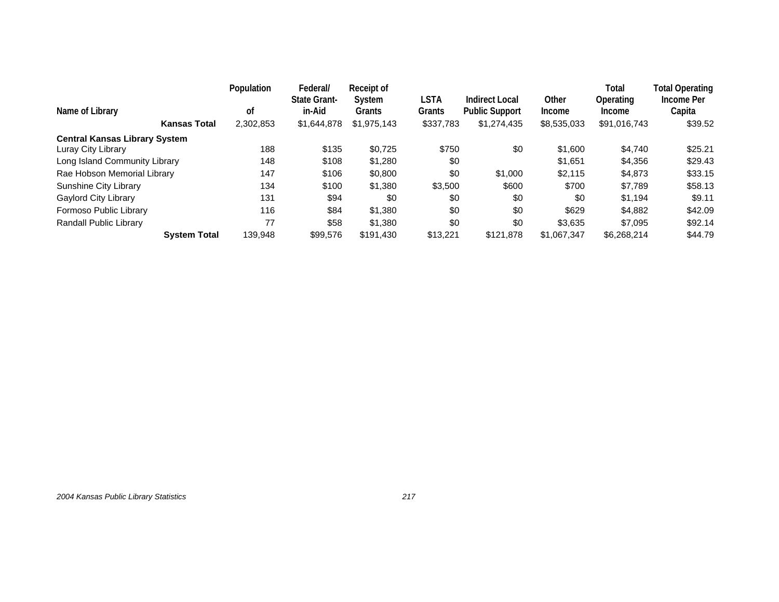| Name of Library                      | Population<br>οf | Federal/<br><b>State Grant-</b><br>in-Aid | Receipt of<br>System<br>Grants | LSTA<br>Grants | Indirect Local<br><b>Public Support</b> | Other<br><b>Income</b> | Total<br>Operating<br>Income | <b>Total Operating</b><br>Income Per<br>Capita |
|--------------------------------------|------------------|-------------------------------------------|--------------------------------|----------------|-----------------------------------------|------------------------|------------------------------|------------------------------------------------|
| <b>Kansas Total</b>                  | 2,302,853        | \$1,644,878                               | \$1,975,143                    | \$337,783      | \$1,274,435                             | \$8,535,033            | \$91,016,743                 | \$39.52                                        |
| <b>Central Kansas Library System</b> |                  |                                           |                                |                |                                         |                        |                              |                                                |
| Luray City Library                   | 188              | \$135                                     | \$0.725                        | \$750          | \$0                                     | \$1,600                | \$4.740                      | \$25.21                                        |
| Long Island Community Library        | 148              | \$108                                     | \$1,280                        | \$0            |                                         | \$1.651                | \$4,356                      | \$29.43                                        |
| Rae Hobson Memorial Library          | 147              | \$106                                     | \$0,800                        | \$0            | \$1,000                                 | \$2,115                | \$4,873                      | \$33.15                                        |
| <b>Sunshine City Library</b>         | 134              | \$100                                     | \$1,380                        | \$3,500        | \$600                                   | \$700                  | \$7.789                      | \$58.13                                        |
| Gaylord City Library                 | 131              | \$94                                      | \$0                            | \$0            | \$0                                     | \$0                    | \$1.194                      | \$9.11                                         |
| Formoso Public Library               | 116              | \$84                                      | \$1,380                        | \$0            | \$0                                     | \$629                  | \$4.882                      | \$42.09                                        |
| Randall Public Library               | 77               | \$58                                      | \$1,380                        | \$0            | \$0                                     | \$3.635                | \$7.095                      | \$92.14                                        |
| <b>System Total</b>                  | 139.948          | \$99,576                                  | \$191.430                      | \$13,221       | \$121.878                               | \$1,067,347            | \$6,268,214                  | \$44.79                                        |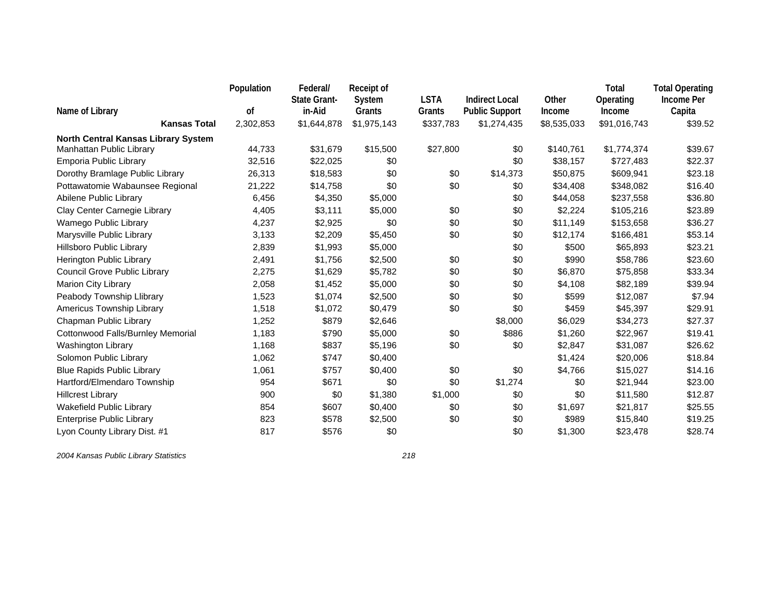|                                     | Population | Federal/<br><b>State Grant-</b> | <b>Receipt of</b><br>System | <b>LSTA</b> | <b>Indirect Local</b> | Other       | Total<br>Operating | <b>Total Operating</b><br><b>Income Per</b> |
|-------------------------------------|------------|---------------------------------|-----------------------------|-------------|-----------------------|-------------|--------------------|---------------------------------------------|
| Name of Library                     | οf         | in-Aid                          | Grants                      | Grants      | <b>Public Support</b> | Income      | Income             | Capita                                      |
| <b>Kansas Total</b>                 | 2,302,853  | \$1,644,878                     | \$1,975,143                 | \$337,783   | \$1,274,435           | \$8,535,033 | \$91,016,743       | \$39.52                                     |
| North Central Kansas Library System |            |                                 |                             |             |                       |             |                    |                                             |
| Manhattan Public Library            | 44,733     | \$31,679                        | \$15,500                    | \$27,800    | \$0                   | \$140,761   | \$1,774,374        | \$39.67                                     |
| Emporia Public Library              | 32,516     | \$22,025                        | \$0                         |             | \$0                   | \$38,157    | \$727,483          | \$22.37                                     |
| Dorothy Bramlage Public Library     | 26,313     | \$18,583                        | \$0                         | \$0         | \$14,373              | \$50,875    | \$609,941          | \$23.18                                     |
| Pottawatomie Wabaunsee Regional     | 21,222     | \$14,758                        | \$0                         | \$0         | \$0                   | \$34,408    | \$348,082          | \$16.40                                     |
| Abilene Public Library              | 6,456      | \$4,350                         | \$5,000                     |             | \$0                   | \$44,058    | \$237,558          | \$36.80                                     |
| Clay Center Carnegie Library        | 4,405      | \$3,111                         | \$5,000                     | \$0         | \$0                   | \$2,224     | \$105,216          | \$23.89                                     |
| Wamego Public Library               | 4,237      | \$2,925                         | \$0                         | \$0         | \$0                   | \$11,149    | \$153,658          | \$36.27                                     |
| Marysville Public Library           | 3,133      | \$2,209                         | \$5,450                     | \$0         | \$0                   | \$12,174    | \$166,481          | \$53.14                                     |
| Hillsboro Public Library            | 2,839      | \$1,993                         | \$5,000                     |             | \$0                   | \$500       | \$65,893           | \$23.21                                     |
| Herington Public Library            | 2,491      | \$1,756                         | \$2,500                     | \$0         | \$0                   | \$990       | \$58,786           | \$23.60                                     |
| Council Grove Public Library        | 2,275      | \$1,629                         | \$5,782                     | \$0         | \$0                   | \$6,870     | \$75,858           | \$33.34                                     |
| Marion City Library                 | 2,058      | \$1,452                         | \$5,000                     | \$0         | \$0                   | \$4,108     | \$82,189           | \$39.94                                     |
| Peabody Township Llibrary           | 1,523      | \$1,074                         | \$2,500                     | \$0         | \$0                   | \$599       | \$12,087           | \$7.94                                      |
| Americus Township Library           | 1,518      | \$1,072                         | \$0,479                     | \$0         | \$0                   | \$459       | \$45,397           | \$29.91                                     |
| Chapman Public Library              | 1,252      | \$879                           | \$2,646                     |             | \$8,000               | \$6,029     | \$34,273           | \$27.37                                     |
| Cottonwood Falls/Burnley Memorial   | 1,183      | \$790                           | \$5,000                     | \$0         | \$886                 | \$1,260     | \$22,967           | \$19.41                                     |
| <b>Washington Library</b>           | 1,168      | \$837                           | \$5,196                     | \$0         | \$0                   | \$2,847     | \$31,087           | \$26.62                                     |
| Solomon Public Library              | 1,062      | \$747                           | \$0,400                     |             |                       | \$1,424     | \$20,006           | \$18.84                                     |
| <b>Blue Rapids Public Library</b>   | 1,061      | \$757                           | \$0,400                     | \$0         | \$0                   | \$4,766     | \$15,027           | \$14.16                                     |
| Hartford/Elmendaro Township         | 954        | \$671                           | \$0                         | \$0         | \$1,274               | \$0         | \$21,944           | \$23.00                                     |
| <b>Hillcrest Library</b>            | 900        | \$0                             | \$1,380                     | \$1,000     | \$0                   | \$0         | \$11,580           | \$12.87                                     |
| Wakefield Public Library            | 854        | \$607                           | \$0,400                     | \$0         | \$0                   | \$1,697     | \$21,817           | \$25.55                                     |
| <b>Enterprise Public Library</b>    | 823        | \$578                           | \$2,500                     | \$0         | \$0                   | \$989       | \$15,840           | \$19.25                                     |
| Lyon County Library Dist. #1        | 817        | \$576                           | \$0                         |             | \$0                   | \$1,300     | \$23,478           | \$28.74                                     |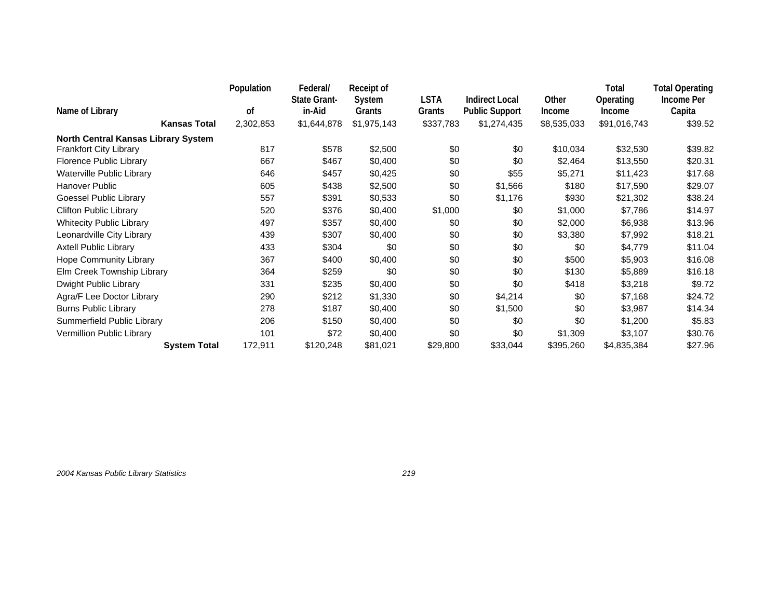|                                     | Population | Federal/<br><b>State Grant-</b> | Receipt of<br>System | LSTA      | <b>Indirect Local</b> | Other       | Total<br>Operating | <b>Total Operating</b><br>Income Per |
|-------------------------------------|------------|---------------------------------|----------------------|-----------|-----------------------|-------------|--------------------|--------------------------------------|
| Name of Library                     | οf         | in-Aid                          | Grants               | Grants    | <b>Public Support</b> | Income      | <b>Income</b>      | Capita                               |
| <b>Kansas Total</b>                 | 2,302,853  | \$1,644,878                     | \$1,975,143          | \$337,783 | \$1,274,435           | \$8,535,033 | \$91,016,743       | \$39.52                              |
| North Central Kansas Library System |            |                                 |                      |           |                       |             |                    |                                      |
| <b>Frankfort City Library</b>       | 817        | \$578                           | \$2,500              | \$0       | \$0                   | \$10,034    | \$32,530           | \$39.82                              |
| Florence Public Library             | 667        | \$467                           | \$0,400              | \$0       | \$0                   | \$2,464     | \$13,550           | \$20.31                              |
| Waterville Public Library           | 646        | \$457                           | \$0,425              | \$0       | \$55                  | \$5,271     | \$11,423           | \$17.68                              |
| Hanover Public                      | 605        | \$438                           | \$2,500              | \$0       | \$1,566               | \$180       | \$17,590           | \$29.07                              |
| Goessel Public Library              | 557        | \$391                           | \$0,533              | \$0       | \$1,176               | \$930       | \$21,302           | \$38.24                              |
| <b>Clifton Public Library</b>       | 520        | \$376                           | \$0,400              | \$1,000   | \$0                   | \$1,000     | \$7,786            | \$14.97                              |
| <b>Whitecity Public Library</b>     | 497        | \$357                           | \$0,400              | \$0       | \$0                   | \$2,000     | \$6,938            | \$13.96                              |
| Leonardville City Library           | 439        | \$307                           | \$0,400              | \$0       | \$0                   | \$3,380     | \$7,992            | \$18.21                              |
| <b>Axtell Public Library</b>        | 433        | \$304                           | \$0                  | \$0       | \$0                   | \$0         | \$4,779            | \$11.04                              |
| <b>Hope Community Library</b>       | 367        | \$400                           | \$0,400              | \$0       | \$0                   | \$500       | \$5,903            | \$16.08                              |
| Elm Creek Township Library          | 364        | \$259                           | \$0                  | \$0       | \$0                   | \$130       | \$5,889            | \$16.18                              |
| Dwight Public Library               | 331        | \$235                           | \$0,400              | \$0       | \$0                   | \$418       | \$3,218            | \$9.72                               |
| Agra/F Lee Doctor Library           | 290        | \$212                           | \$1,330              | \$0       | \$4,214               | \$0         | \$7,168            | \$24.72                              |
| <b>Burns Public Library</b>         | 278        | \$187                           | \$0,400              | \$0       | \$1,500               | \$0         | \$3,987            | \$14.34                              |
| Summerfield Public Library          | 206        | \$150                           | \$0,400              | \$0       | \$0                   | \$0         | \$1,200            | \$5.83                               |
| Vermillion Public Library           | 101        | \$72                            | \$0,400              | \$0       | \$0                   | \$1,309     | \$3,107            | \$30.76                              |
| <b>System Total</b>                 | 172,911    | \$120,248                       | \$81,021             | \$29,800  | \$33,044              | \$395,260   | \$4,835,384        | \$27.96                              |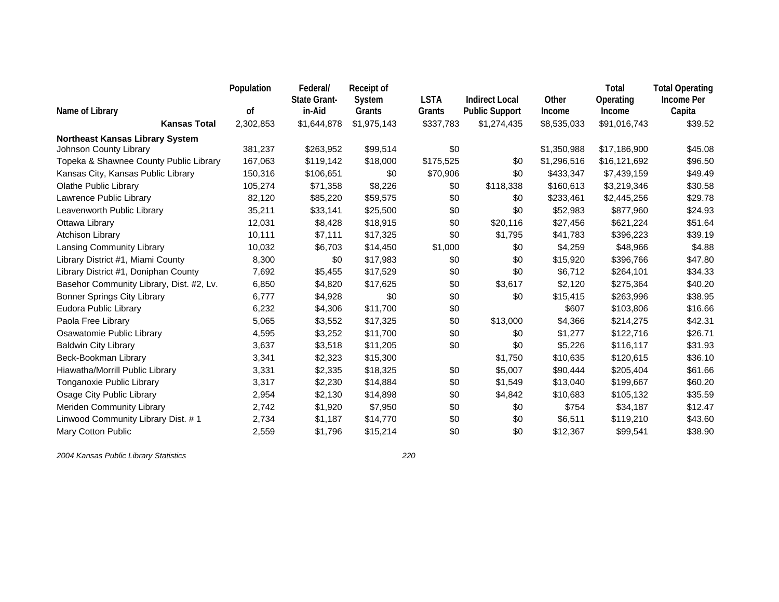|                                          | Population | Federal/<br><b>State Grant-</b> | <b>Receipt of</b><br>System | <b>LSTA</b> | <b>Indirect Local</b> | Other       | Total<br>Operating | <b>Total Operating</b><br>Income Per |
|------------------------------------------|------------|---------------------------------|-----------------------------|-------------|-----------------------|-------------|--------------------|--------------------------------------|
| Name of Library                          | οf         | in-Aid                          | Grants                      | Grants      | <b>Public Support</b> | Income      | Income             | Capita                               |
| <b>Kansas Total</b>                      | 2,302,853  | \$1,644,878                     | \$1,975,143                 | \$337,783   | \$1,274,435           | \$8,535,033 | \$91,016,743       | \$39.52                              |
| <b>Northeast Kansas Library System</b>   |            |                                 |                             |             |                       |             |                    |                                      |
| Johnson County Library                   | 381,237    | \$263,952                       | \$99,514                    | \$0         |                       | \$1,350,988 | \$17,186,900       | \$45.08                              |
| Topeka & Shawnee County Public Library   | 167,063    | \$119,142                       | \$18,000                    | \$175,525   | \$0                   | \$1,296,516 | \$16,121,692       | \$96.50                              |
| Kansas City, Kansas Public Library       | 150,316    | \$106,651                       | \$0                         | \$70,906    | \$0                   | \$433,347   | \$7,439,159        | \$49.49                              |
| <b>Olathe Public Library</b>             | 105,274    | \$71,358                        | \$8,226                     | \$0         | \$118,338             | \$160,613   | \$3,219,346        | \$30.58                              |
| Lawrence Public Library                  | 82,120     | \$85,220                        | \$59,575                    | \$0         | \$0                   | \$233,461   | \$2,445,256        | \$29.78                              |
| Leavenworth Public Library               | 35,211     | \$33,141                        | \$25,500                    | \$0         | \$0                   | \$52,983    | \$877,960          | \$24.93                              |
| Ottawa Library                           | 12,031     | \$8,428                         | \$18,915                    | \$0         | \$20,116              | \$27,456    | \$621,224          | \$51.64                              |
| <b>Atchison Library</b>                  | 10,111     | \$7,111                         | \$17,325                    | \$0         | \$1,795               | \$41,783    | \$396,223          | \$39.19                              |
| Lansing Community Library                | 10,032     | \$6,703                         | \$14,450                    | \$1,000     | \$0                   | \$4,259     | \$48,966           | \$4.88                               |
| Library District #1, Miami County        | 8,300      | \$0                             | \$17,983                    | \$0         | \$0                   | \$15,920    | \$396,766          | \$47.80                              |
| Library District #1, Doniphan County     | 7,692      | \$5,455                         | \$17,529                    | \$0         | \$0                   | \$6,712     | \$264,101          | \$34.33                              |
| Basehor Community Library, Dist. #2, Lv. | 6,850      | \$4,820                         | \$17,625                    | \$0         | \$3,617               | \$2,120     | \$275,364          | \$40.20                              |
| <b>Bonner Springs City Library</b>       | 6,777      | \$4,928                         | \$0                         | \$0         | \$0                   | \$15,415    | \$263,996          | \$38.95                              |
| Eudora Public Library                    | 6,232      | \$4,306                         | \$11,700                    | \$0         |                       | \$607       | \$103,806          | \$16.66                              |
| Paola Free Library                       | 5,065      | \$3,552                         | \$17,325                    | \$0         | \$13,000              | \$4,366     | \$214,275          | \$42.31                              |
| Osawatomie Public Library                | 4,595      | \$3,252                         | \$11,700                    | \$0         | \$0                   | \$1,277     | \$122,716          | \$26.71                              |
| <b>Baldwin City Library</b>              | 3,637      | \$3,518                         | \$11,205                    | \$0         | \$0                   | \$5,226     | \$116,117          | \$31.93                              |
| Beck-Bookman Library                     | 3,341      | \$2,323                         | \$15,300                    |             | \$1,750               | \$10,635    | \$120,615          | \$36.10                              |
| Hiawatha/Morrill Public Library          | 3,331      | \$2,335                         | \$18,325                    | \$0         | \$5,007               | \$90,444    | \$205,404          | \$61.66                              |
| Tonganoxie Public Library                | 3,317      | \$2,230                         | \$14,884                    | \$0         | \$1,549               | \$13,040    | \$199,667          | \$60.20                              |
| Osage City Public Library                | 2,954      | \$2,130                         | \$14,898                    | \$0         | \$4,842               | \$10,683    | \$105,132          | \$35.59                              |
| Meriden Community Library                | 2,742      | \$1,920                         | \$7,950                     | \$0         | \$0                   | \$754       | \$34,187           | \$12.47                              |
| Linwood Community Library Dist. # 1      | 2,734      | \$1,187                         | \$14,770                    | \$0         | \$0                   | \$6,511     | \$119,210          | \$43.60                              |
| Mary Cotton Public                       | 2,559      | \$1,796                         | \$15,214                    | \$0         | \$0                   | \$12,367    | \$99,541           | \$38.90                              |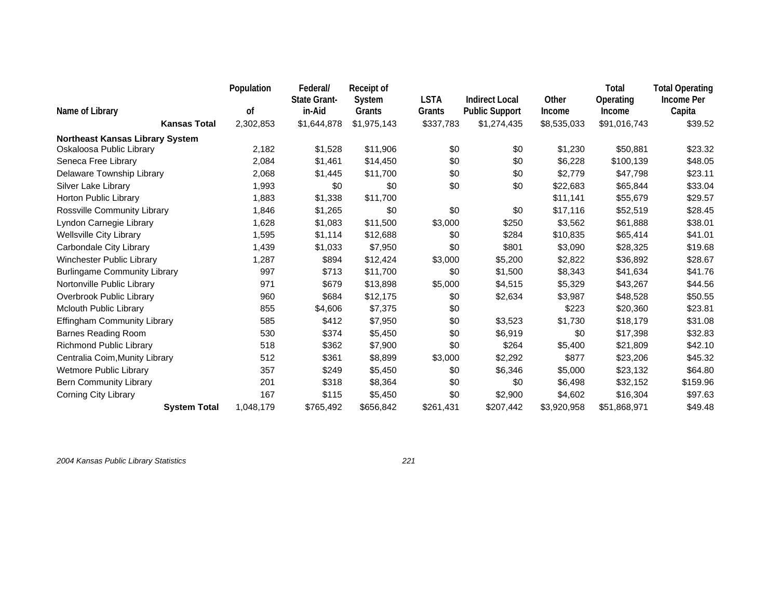|                                        | Population | Federal/<br><b>State Grant-</b> | Receipt of<br>System | <b>LSTA</b> | <b>Indirect Local</b> | Other       | Total<br>Operating | <b>Total Operating</b><br>Income Per |
|----------------------------------------|------------|---------------------------------|----------------------|-------------|-----------------------|-------------|--------------------|--------------------------------------|
| Name of Library                        | οf         | in-Aid                          | Grants               | Grants      | <b>Public Support</b> | Income      | Income             | Capita                               |
| <b>Kansas Total</b>                    | 2,302,853  | \$1,644,878                     | \$1,975,143          | \$337,783   | \$1,274,435           | \$8,535,033 | \$91,016,743       | \$39.52                              |
| <b>Northeast Kansas Library System</b> |            |                                 |                      |             |                       |             |                    |                                      |
| Oskaloosa Public Library               | 2,182      | \$1,528                         | \$11,906             | \$0         | \$0                   | \$1,230     | \$50,881           | \$23.32                              |
| Seneca Free Library                    | 2,084      | \$1,461                         | \$14,450             | \$0         | \$0                   | \$6,228     | \$100,139          | \$48.05                              |
| Delaware Township Library              | 2,068      | \$1,445                         | \$11,700             | \$0         | \$0                   | \$2,779     | \$47,798           | \$23.11                              |
| Silver Lake Library                    | 1,993      | \$0                             | \$0                  | \$0         | \$0                   | \$22,683    | \$65,844           | \$33.04                              |
| Horton Public Library                  | 1,883      | \$1,338                         | \$11,700             |             |                       | \$11,141    | \$55,679           | \$29.57                              |
| Rossville Community Library            | 1,846      | \$1,265                         | \$0                  | \$0         | \$0                   | \$17,116    | \$52,519           | \$28.45                              |
| Lyndon Carnegie Library                | 1,628      | \$1,083                         | \$11,500             | \$3,000     | \$250                 | \$3,562     | \$61,888           | \$38.01                              |
| <b>Wellsville City Library</b>         | 1,595      | \$1,114                         | \$12,688             | \$0         | \$284                 | \$10,835    | \$65,414           | \$41.01                              |
| Carbondale City Library                | 1,439      | \$1,033                         | \$7,950              | \$0         | \$801                 | \$3,090     | \$28,325           | \$19.68                              |
| Winchester Public Library              | 1,287      | \$894                           | \$12,424             | \$3,000     | \$5,200               | \$2,822     | \$36,892           | \$28.67                              |
| <b>Burlingame Community Library</b>    | 997        | \$713                           | \$11,700             | \$0         | \$1,500               | \$8,343     | \$41,634           | \$41.76                              |
| Nortonville Public Library             | 971        | \$679                           | \$13,898             | \$5,000     | \$4,515               | \$5,329     | \$43,267           | \$44.56                              |
| Overbrook Public Library               | 960        | \$684                           | \$12,175             | \$0         | \$2,634               | \$3,987     | \$48,528           | \$50.55                              |
| <b>Mclouth Public Library</b>          | 855        | \$4,606                         | \$7,375              | \$0         |                       | \$223       | \$20,360           | \$23.81                              |
| Effingham Community Library            | 585        | \$412                           | \$7,950              | \$0         | \$3,523               | \$1,730     | \$18,179           | \$31.08                              |
| Barnes Reading Room                    | 530        | \$374                           | \$5,450              | \$0         | \$6,919               | \$0         | \$17,398           | \$32.83                              |
| Richmond Public Library                | 518        | \$362                           | \$7,900              | \$0         | \$264                 | \$5,400     | \$21,809           | \$42.10                              |
| Centralia Coim, Munity Library         | 512        | \$361                           | \$8,899              | \$3,000     | \$2,292               | \$877       | \$23,206           | \$45.32                              |
| Wetmore Public Library                 | 357        | \$249                           | \$5,450              | \$0         | \$6,346               | \$5,000     | \$23,132           | \$64.80                              |
| <b>Bern Community Library</b>          | 201        | \$318                           | \$8,364              | \$0         | \$0                   | \$6,498     | \$32,152           | \$159.96                             |
| Corning City Library                   | 167        | \$115                           | \$5,450              | \$0         | \$2,900               | \$4,602     | \$16,304           | \$97.63                              |
| <b>System Total</b>                    | 1,048,179  | \$765,492                       | \$656,842            | \$261,431   | \$207,442             | \$3,920,958 | \$51,868,971       | \$49.48                              |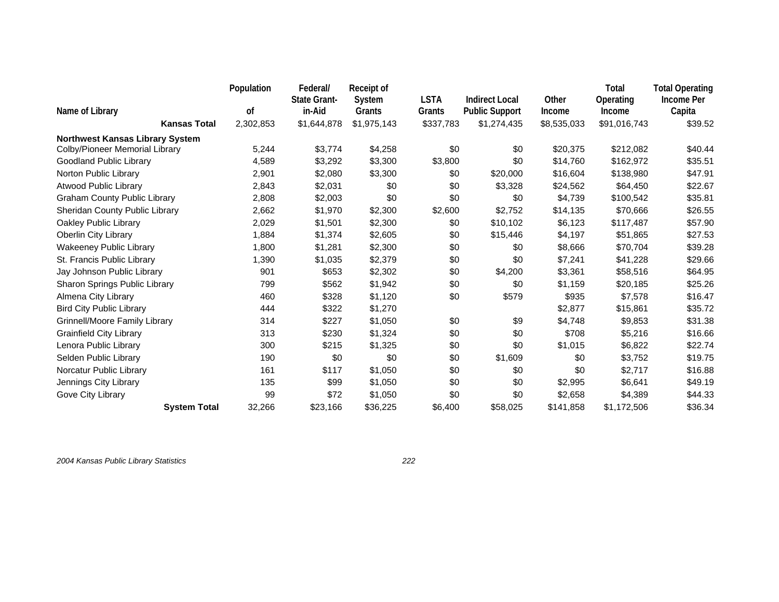| Name of Library                        | Population<br>οf | Federal/<br><b>State Grant-</b><br>in-Aid | Receipt of<br>System<br>Grants | <b>LSTA</b><br>Grants | <b>Indirect Local</b><br><b>Public Support</b> | Other<br>Income | Total<br>Operating<br>Income | <b>Total Operating</b><br><b>Income Per</b><br>Capita |
|----------------------------------------|------------------|-------------------------------------------|--------------------------------|-----------------------|------------------------------------------------|-----------------|------------------------------|-------------------------------------------------------|
| <b>Kansas Total</b>                    | 2,302,853        | \$1,644,878                               | \$1,975,143                    | \$337,783             | \$1,274,435                                    | \$8,535,033     | \$91,016,743                 | \$39.52                                               |
| <b>Northwest Kansas Library System</b> |                  |                                           |                                |                       |                                                |                 |                              |                                                       |
| Colby/Pioneer Memorial Library         | 5,244            | \$3,774                                   | \$4,258                        | \$0                   | \$0                                            | \$20,375        | \$212,082                    | \$40.44                                               |
| Goodland Public Library                | 4,589            | \$3,292                                   | \$3,300                        | \$3,800               | \$0                                            | \$14.760        | \$162,972                    | \$35.51                                               |
| Norton Public Library                  | 2,901            | \$2,080                                   | \$3,300                        | \$0                   | \$20,000                                       | \$16,604        | \$138,980                    | \$47.91                                               |
| <b>Atwood Public Library</b>           | 2,843            | \$2,031                                   | \$0                            | \$0                   | \$3,328                                        | \$24,562        | \$64,450                     | \$22.67                                               |
| <b>Graham County Public Library</b>    | 2,808            | \$2,003                                   | \$0                            | \$0                   | \$0                                            | \$4,739         | \$100,542                    | \$35.81                                               |
| Sheridan County Public Library         | 2,662            | \$1,970                                   | \$2,300                        | \$2,600               | \$2,752                                        | \$14,135        | \$70,666                     | \$26.55                                               |
| Oakley Public Library                  | 2,029            | \$1,501                                   | \$2,300                        | \$0                   | \$10,102                                       | \$6,123         | \$117,487                    | \$57.90                                               |
| <b>Oberlin City Library</b>            | 1,884            | \$1,374                                   | \$2,605                        | \$0                   | \$15,446                                       | \$4,197         | \$51,865                     | \$27.53                                               |
| Wakeeney Public Library                | 1,800            | \$1,281                                   | \$2,300                        | \$0                   | \$0                                            | \$8,666         | \$70,704                     | \$39.28                                               |
| St. Francis Public Library             | 1,390            | \$1,035                                   | \$2,379                        | \$0                   | \$0                                            | \$7,241         | \$41,228                     | \$29.66                                               |
| Jay Johnson Public Library             | 901              | \$653                                     | \$2,302                        | \$0                   | \$4,200                                        | \$3,361         | \$58,516                     | \$64.95                                               |
| Sharon Springs Public Library          | 799              | \$562                                     | \$1,942                        | \$0                   | \$0                                            | \$1,159         | \$20,185                     | \$25.26                                               |
| Almena City Library                    | 460              | \$328                                     | \$1,120                        | \$0                   | \$579                                          | \$935           | \$7,578                      | \$16.47                                               |
| <b>Bird City Public Library</b>        | 444              | \$322                                     | \$1,270                        |                       |                                                | \$2,877         | \$15,861                     | \$35.72                                               |
| Grinnell/Moore Family Library          | 314              | \$227                                     | \$1,050                        | \$0                   | \$9                                            | \$4,748         | \$9,853                      | \$31.38                                               |
| <b>Grainfield City Library</b>         | 313              | \$230                                     | \$1,324                        | \$0                   | \$0                                            | \$708           | \$5,216                      | \$16.66                                               |
| Lenora Public Library                  | 300              | \$215                                     | \$1,325                        | \$0                   | \$0                                            | \$1,015         | \$6,822                      | \$22.74                                               |
| Selden Public Library                  | 190              | \$0                                       | \$0                            | \$0                   | \$1,609                                        | \$0             | \$3,752                      | \$19.75                                               |
| Norcatur Public Library                | 161              | \$117                                     | \$1,050                        | \$0                   | \$0                                            | \$0             | \$2,717                      | \$16.88                                               |
| Jennings City Library                  | 135              | \$99                                      | \$1,050                        | \$0                   | \$0                                            | \$2,995         | \$6,641                      | \$49.19                                               |
| Gove City Library                      | 99               | \$72                                      | \$1,050                        | \$0                   | \$0                                            | \$2,658         | \$4,389                      | \$44.33                                               |
| <b>System Total</b>                    | 32,266           | \$23,166                                  | \$36,225                       | \$6,400               | \$58,025                                       | \$141,858       | \$1,172,506                  | \$36.34                                               |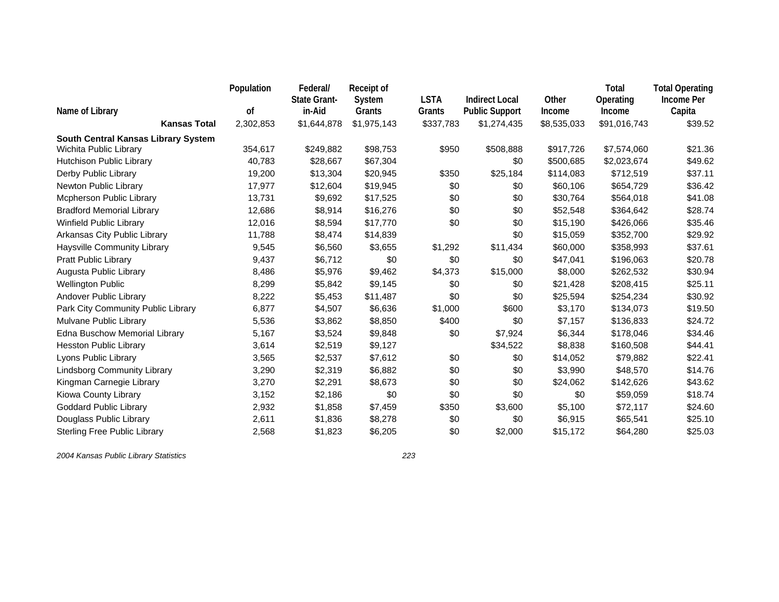|                                     | Population | Federal/<br><b>State Grant-</b> | <b>Receipt of</b><br>System | <b>LSTA</b> | <b>Indirect Local</b> | Other       | Total<br>Operating | <b>Total Operating</b><br><b>Income Per</b> |
|-------------------------------------|------------|---------------------------------|-----------------------------|-------------|-----------------------|-------------|--------------------|---------------------------------------------|
| Name of Library                     | οf         | in-Aid                          | Grants                      | Grants      | <b>Public Support</b> | Income      | Income             | Capita                                      |
| <b>Kansas Total</b>                 | 2,302,853  | \$1,644,878                     | \$1,975,143                 | \$337,783   | \$1,274,435           | \$8,535,033 | \$91,016,743       | \$39.52                                     |
| South Central Kansas Library System |            |                                 |                             |             |                       |             |                    |                                             |
| Wichita Public Library              | 354,617    | \$249,882                       | \$98,753                    | \$950       | \$508,888             | \$917,726   | \$7,574,060        | \$21.36                                     |
| Hutchison Public Library            | 40,783     | \$28,667                        | \$67,304                    |             | \$0                   | \$500,685   | \$2,023,674        | \$49.62                                     |
| Derby Public Library                | 19,200     | \$13,304                        | \$20,945                    | \$350       | \$25,184              | \$114,083   | \$712,519          | \$37.11                                     |
| Newton Public Library               | 17,977     | \$12,604                        | \$19,945                    | \$0         | \$0                   | \$60,106    | \$654,729          | \$36.42                                     |
| Mcpherson Public Library            | 13,731     | \$9,692                         | \$17,525                    | \$0         | \$0                   | \$30,764    | \$564,018          | \$41.08                                     |
| <b>Bradford Memorial Library</b>    | 12,686     | \$8,914                         | \$16,276                    | \$0         | \$0                   | \$52,548    | \$364,642          | \$28.74                                     |
| <b>Winfield Public Library</b>      | 12,016     | \$8,594                         | \$17,770                    | \$0         | \$0                   | \$15,190    | \$426,066          | \$35.46                                     |
| Arkansas City Public Library        | 11,788     | \$8,474                         | \$14,839                    |             | \$0                   | \$15,059    | \$352,700          | \$29.92                                     |
| Haysville Community Library         | 9,545      | \$6,560                         | \$3,655                     | \$1,292     | \$11,434              | \$60,000    | \$358,993          | \$37.61                                     |
| <b>Pratt Public Library</b>         | 9,437      | \$6,712                         | \$0                         | \$0         | \$0                   | \$47,041    | \$196,063          | \$20.78                                     |
| Augusta Public Library              | 8,486      | \$5,976                         | \$9,462                     | \$4,373     | \$15,000              | \$8,000     | \$262,532          | \$30.94                                     |
| <b>Wellington Public</b>            | 8,299      | \$5,842                         | \$9,145                     | \$0         | \$0                   | \$21,428    | \$208,415          | \$25.11                                     |
| Andover Public Library              | 8,222      | \$5,453                         | \$11,487                    | \$0         | \$0                   | \$25,594    | \$254,234          | \$30.92                                     |
| Park City Community Public Library  | 6,877      | \$4,507                         | \$6,636                     | \$1,000     | \$600                 | \$3,170     | \$134,073          | \$19.50                                     |
| Mulvane Public Library              | 5,536      | \$3,862                         | \$8,850                     | \$400       | \$0                   | \$7,157     | \$136,833          | \$24.72                                     |
| Edna Buschow Memorial Library       | 5,167      | \$3,524                         | \$9,848                     | \$0         | \$7,924               | \$6,344     | \$178,046          | \$34.46                                     |
| <b>Hesston Public Library</b>       | 3,614      | \$2,519                         | \$9,127                     |             | \$34,522              | \$8,838     | \$160,508          | \$44.41                                     |
| Lyons Public Library                | 3,565      | \$2,537                         | \$7,612                     | \$0         | \$0                   | \$14,052    | \$79,882           | \$22.41                                     |
| <b>Lindsborg Community Library</b>  | 3,290      | \$2,319                         | \$6,882                     | \$0         | \$0                   | \$3,990     | \$48,570           | \$14.76                                     |
| Kingman Carnegie Library            | 3,270      | \$2,291                         | \$8,673                     | \$0         | \$0                   | \$24,062    | \$142,626          | \$43.62                                     |
| Kiowa County Library                | 3,152      | \$2,186                         | \$0                         | \$0         | \$0                   | \$0         | \$59,059           | \$18.74                                     |
| <b>Goddard Public Library</b>       | 2,932      | \$1,858                         | \$7,459                     | \$350       | \$3,600               | \$5,100     | \$72,117           | \$24.60                                     |
| Douglass Public Library             | 2,611      | \$1,836                         | \$8,278                     | \$0         | \$0                   | \$6,915     | \$65,541           | \$25.10                                     |
| <b>Sterling Free Public Library</b> | 2,568      | \$1,823                         | \$6,205                     | \$0         | \$2,000               | \$15,172    | \$64,280           | \$25.03                                     |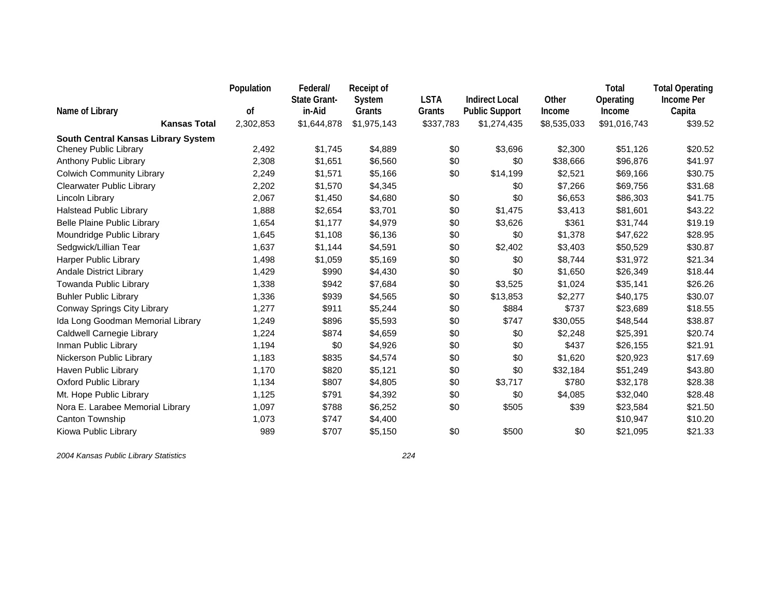|                                     | Population | Federal/<br><b>State Grant-</b> | <b>Receipt of</b><br>System | <b>LSTA</b> | <b>Indirect Local</b> | Other       | <b>Total</b><br>Operating | <b>Total Operating</b><br><b>Income Per</b> |
|-------------------------------------|------------|---------------------------------|-----------------------------|-------------|-----------------------|-------------|---------------------------|---------------------------------------------|
| Name of Library                     | of         | in-Aid                          | Grants                      | Grants      | <b>Public Support</b> | Income      | Income                    | Capita                                      |
| <b>Kansas Total</b>                 | 2,302,853  | \$1,644,878                     | \$1,975,143                 | \$337,783   | \$1,274,435           | \$8,535,033 | \$91,016,743              | \$39.52                                     |
| South Central Kansas Library System |            |                                 |                             |             |                       |             |                           |                                             |
| <b>Cheney Public Library</b>        | 2,492      | \$1.745                         | \$4,889                     | \$0         | \$3,696               | \$2,300     | \$51,126                  | \$20.52                                     |
| Anthony Public Library              | 2,308      | \$1,651                         | \$6,560                     | \$0         | \$0                   | \$38,666    | \$96,876                  | \$41.97                                     |
| <b>Colwich Community Library</b>    | 2,249      | \$1,571                         | \$5,166                     | \$0         | \$14,199              | \$2,521     | \$69,166                  | \$30.75                                     |
| <b>Clearwater Public Library</b>    | 2,202      | \$1,570                         | \$4,345                     |             | \$0                   | \$7,266     | \$69,756                  | \$31.68                                     |
| Lincoln Library                     | 2,067      | \$1,450                         | \$4,680                     | \$0         | \$0                   | \$6,653     | \$86,303                  | \$41.75                                     |
| <b>Halstead Public Library</b>      | 1,888      | \$2,654                         | \$3,701                     | \$0         | \$1,475               | \$3,413     | \$81,601                  | \$43.22                                     |
| Belle Plaine Public Library         | 1,654      | \$1,177                         | \$4,979                     | \$0         | \$3,626               | \$361       | \$31,744                  | \$19.19                                     |
| Moundridge Public Library           | 1,645      | \$1,108                         | \$6,136                     | \$0         | \$0                   | \$1,378     | \$47,622                  | \$28.95                                     |
| Sedgwick/Lillian Tear               | 1,637      | \$1,144                         | \$4,591                     | \$0         | \$2,402               | \$3,403     | \$50,529                  | \$30.87                                     |
| Harper Public Library               | 1,498      | \$1,059                         | \$5,169                     | \$0         | \$0                   | \$8,744     | \$31,972                  | \$21.34                                     |
| <b>Andale District Library</b>      | 1,429      | \$990                           | \$4,430                     | \$0         | \$0                   | \$1,650     | \$26,349                  | \$18.44                                     |
| Towanda Public Library              | 1,338      | \$942                           | \$7,684                     | \$0         | \$3,525               | \$1,024     | \$35,141                  | \$26.26                                     |
| <b>Buhler Public Library</b>        | 1,336      | \$939                           | \$4,565                     | \$0         | \$13,853              | \$2,277     | \$40,175                  | \$30.07                                     |
| Conway Springs City Library         | 1,277      | \$911                           | \$5,244                     | \$0         | \$884                 | \$737       | \$23,689                  | \$18.55                                     |
| Ida Long Goodman Memorial Library   | 1,249      | \$896                           | \$5,593                     | \$0         | \$747                 | \$30,055    | \$48,544                  | \$38.87                                     |
| Caldwell Carnegie Library           | 1,224      | \$874                           | \$4,659                     | \$0         | \$0                   | \$2,248     | \$25,391                  | \$20.74                                     |
| Inman Public Library                | 1,194      | \$0                             | \$4,926                     | \$0         | \$0                   | \$437       | \$26,155                  | \$21.91                                     |
| Nickerson Public Library            | 1,183      | \$835                           | \$4,574                     | \$0         | \$0                   | \$1,620     | \$20,923                  | \$17.69                                     |
| Haven Public Library                | 1,170      | \$820                           | \$5,121                     | \$0         | \$0                   | \$32,184    | \$51,249                  | \$43.80                                     |
| <b>Oxford Public Library</b>        | 1,134      | \$807                           | \$4,805                     | \$0         | \$3,717               | \$780       | \$32,178                  | \$28.38                                     |
| Mt. Hope Public Library             | 1,125      | \$791                           | \$4,392                     | \$0         | \$0                   | \$4,085     | \$32,040                  | \$28.48                                     |
| Nora E. Larabee Memorial Library    | 1,097      | \$788                           | \$6,252                     | \$0         | \$505                 | \$39        | \$23,584                  | \$21.50                                     |
| Canton Township                     | 1,073      | \$747                           | \$4,400                     |             |                       |             | \$10,947                  | \$10.20                                     |
| Kiowa Public Library                | 989        | \$707                           | \$5,150                     | \$0         | \$500                 | \$0         | \$21,095                  | \$21.33                                     |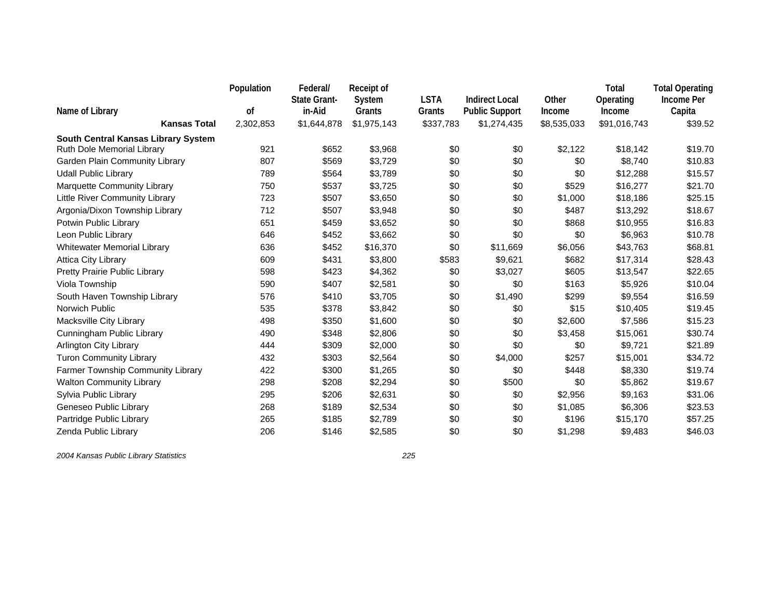|                                     | Population | Federal/<br><b>State Grant-</b> | <b>Receipt of</b><br>System | <b>LSTA</b> | <b>Indirect Local</b> | Other       | Total<br>Operating | <b>Total Operating</b><br><b>Income Per</b> |
|-------------------------------------|------------|---------------------------------|-----------------------------|-------------|-----------------------|-------------|--------------------|---------------------------------------------|
| Name of Library                     | οf         | in-Aid                          | Grants                      | Grants      | <b>Public Support</b> | Income      | Income             | Capita                                      |
| <b>Kansas Total</b>                 | 2,302,853  | \$1,644,878                     | \$1,975,143                 | \$337,783   | \$1,274,435           | \$8,535,033 | \$91,016,743       | \$39.52                                     |
| South Central Kansas Library System |            |                                 |                             |             |                       |             |                    |                                             |
| Ruth Dole Memorial Library          | 921        | \$652                           | \$3,968                     | \$0         | \$0                   | \$2,122     | \$18,142           | \$19.70                                     |
| Garden Plain Community Library      | 807        | \$569                           | \$3,729                     | \$0         | \$0                   | \$0         | \$8,740            | \$10.83                                     |
| <b>Udall Public Library</b>         | 789        | \$564                           | \$3,789                     | \$0         | \$0                   | \$0         | \$12,288           | \$15.57                                     |
| Marquette Community Library         | 750        | \$537                           | \$3,725                     | \$0         | \$0                   | \$529       | \$16,277           | \$21.70                                     |
| Little River Community Library      | 723        | \$507                           | \$3,650                     | \$0         | \$0                   | \$1,000     | \$18,186           | \$25.15                                     |
| Argonia/Dixon Township Library      | 712        | \$507                           | \$3,948                     | \$0         | \$0                   | \$487       | \$13,292           | \$18.67                                     |
| Potwin Public Library               | 651        | \$459                           | \$3,652                     | \$0         | \$0                   | \$868       | \$10,955           | \$16.83                                     |
| Leon Public Library                 | 646        | \$452                           | \$3,662                     | \$0         | \$0                   | \$0         | \$6,963            | \$10.78                                     |
| <b>Whitewater Memorial Library</b>  | 636        | \$452                           | \$16,370                    | \$0         | \$11,669              | \$6,056     | \$43,763           | \$68.81                                     |
| <b>Attica City Library</b>          | 609        | \$431                           | \$3,800                     | \$583       | \$9,621               | \$682       | \$17,314           | \$28.43                                     |
| Pretty Prairie Public Library       | 598        | \$423                           | \$4,362                     | \$0         | \$3,027               | \$605       | \$13,547           | \$22.65                                     |
| Viola Township                      | 590        | \$407                           | \$2,581                     | \$0         | \$0                   | \$163       | \$5,926            | \$10.04                                     |
| South Haven Township Library        | 576        | \$410                           | \$3,705                     | \$0         | \$1,490               | \$299       | \$9,554            | \$16.59                                     |
| Norwich Public                      | 535        | \$378                           | \$3,842                     | \$0         | \$0                   | \$15        | \$10,405           | \$19.45                                     |
| Macksville City Library             | 498        | \$350                           | \$1,600                     | \$0         | \$0                   | \$2,600     | \$7,586            | \$15.23                                     |
| Cunningham Public Library           | 490        | \$348                           | \$2,806                     | \$0         | \$0                   | \$3,458     | \$15,061           | \$30.74                                     |
| Arlington City Library              | 444        | \$309                           | \$2,000                     | \$0         | \$0                   | \$0         | \$9,721            | \$21.89                                     |
| <b>Turon Community Library</b>      | 432        | \$303                           | \$2,564                     | \$0         | \$4,000               | \$257       | \$15,001           | \$34.72                                     |
| Farmer Township Community Library   | 422        | \$300                           | \$1,265                     | \$0         | \$0                   | \$448       | \$8,330            | \$19.74                                     |
| <b>Walton Community Library</b>     | 298        | \$208                           | \$2,294                     | \$0         | \$500                 | \$0         | \$5,862            | \$19.67                                     |
| Sylvia Public Library               | 295        | \$206                           | \$2,631                     | \$0         | \$0                   | \$2,956     | \$9,163            | \$31.06                                     |
| Geneseo Public Library              | 268        | \$189                           | \$2,534                     | \$0         | \$0                   | \$1,085     | \$6,306            | \$23.53                                     |
| Partridge Public Library            | 265        | \$185                           | \$2,789                     | \$0         | \$0                   | \$196       | \$15,170           | \$57.25                                     |
| Zenda Public Library                | 206        | \$146                           | \$2,585                     | \$0         | \$0                   | \$1,298     | \$9,483            | \$46.03                                     |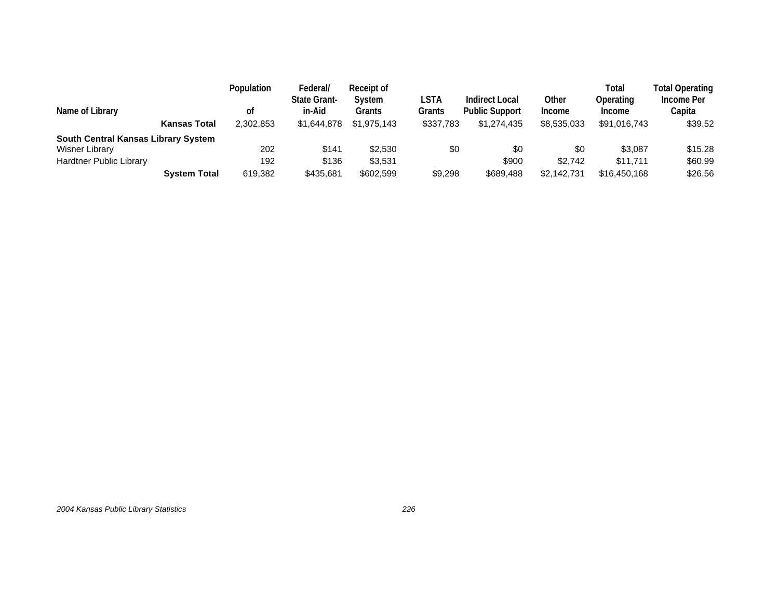|                                     |                     | <b>Population</b> | Federal/                      | Receipt of       |                |                                                |                        | Total                      | <b>Total Operating</b> |
|-------------------------------------|---------------------|-------------------|-------------------------------|------------------|----------------|------------------------------------------------|------------------------|----------------------------|------------------------|
| Name of Library                     |                     | οt                | <b>State Grant-</b><br>in-Aid | System<br>Grants | LSTA<br>Grants | <b>Indirect Local</b><br><b>Public Support</b> | Other<br><b>Income</b> | Operating<br><b>Income</b> | Income Per<br>Capita   |
|                                     | <b>Kansas Total</b> | 2,302,853         | \$1,644,878                   | \$1,975,143      | \$337,783      | \$1,274,435                                    | \$8,535,033            | \$91,016,743               | \$39.52                |
| South Central Kansas Library System |                     |                   |                               |                  |                |                                                |                        |                            |                        |
| Wisner Library                      |                     | 202               | \$141                         | \$2,530          | \$0            | \$0                                            | \$0                    | \$3.087                    | \$15.28                |
| Hardtner Public Library             |                     | 192               | \$136                         | \$3.531          |                | \$900                                          | \$2.742                | \$11.711                   | \$60.99                |
|                                     | <b>System Total</b> | 619,382           | \$435,681                     | \$602,599        | \$9,298        | \$689,488                                      | \$2,142,731            | \$16,450,168               | \$26.56                |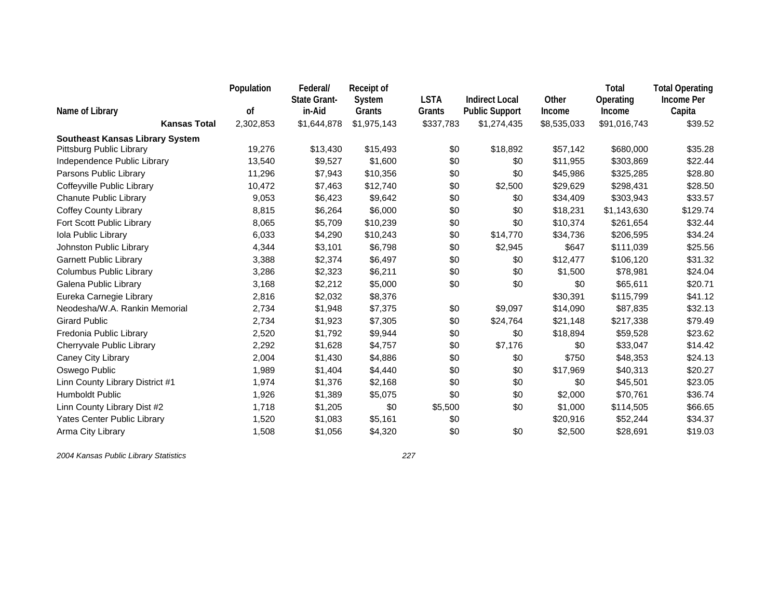|                                        | Population | Federal/<br><b>State Grant-</b> | <b>Receipt of</b><br>System | <b>LSTA</b> | <b>Indirect Local</b> | Other       | <b>Total</b><br>Operating | <b>Total Operating</b><br><b>Income Per</b> |
|----------------------------------------|------------|---------------------------------|-----------------------------|-------------|-----------------------|-------------|---------------------------|---------------------------------------------|
| Name of Library                        | οf         | in-Aid                          | Grants                      | Grants      | <b>Public Support</b> | Income      | Income                    | Capita                                      |
| <b>Kansas Total</b>                    | 2,302,853  | \$1,644,878                     | \$1,975,143                 | \$337,783   | \$1,274,435           | \$8,535,033 | \$91,016,743              | \$39.52                                     |
| <b>Southeast Kansas Library System</b> |            |                                 |                             |             |                       |             |                           |                                             |
| Pittsburg Public Library               | 19,276     | \$13,430                        | \$15,493                    | \$0         | \$18,892              | \$57,142    | \$680,000                 | \$35.28                                     |
| Independence Public Library            | 13,540     | \$9,527                         | \$1,600                     | \$0         | \$0                   | \$11,955    | \$303,869                 | \$22.44                                     |
| Parsons Public Library                 | 11,296     | \$7,943                         | \$10,356                    | \$0         | \$0                   | \$45,986    | \$325,285                 | \$28.80                                     |
| Coffeyville Public Library             | 10,472     | \$7,463                         | \$12,740                    | \$0         | \$2,500               | \$29,629    | \$298,431                 | \$28.50                                     |
| <b>Chanute Public Library</b>          | 9,053      | \$6,423                         | \$9,642                     | \$0         | \$0                   | \$34,409    | \$303,943                 | \$33.57                                     |
| <b>Coffey County Library</b>           | 8,815      | \$6,264                         | \$6,000                     | \$0         | \$0                   | \$18,231    | \$1,143,630               | \$129.74                                    |
| Fort Scott Public Library              | 8,065      | \$5,709                         | \$10,239                    | \$0         | \$0                   | \$10,374    | \$261,654                 | \$32.44                                     |
| Iola Public Library                    | 6,033      | \$4,290                         | \$10,243                    | \$0         | \$14,770              | \$34,736    | \$206,595                 | \$34.24                                     |
| Johnston Public Library                | 4,344      | \$3,101                         | \$6,798                     | \$0         | \$2,945               | \$647       | \$111,039                 | \$25.56                                     |
| <b>Garnett Public Library</b>          | 3,388      | \$2,374                         | \$6,497                     | \$0         | \$0                   | \$12,477    | \$106,120                 | \$31.32                                     |
| Columbus Public Library                | 3,286      | \$2,323                         | \$6,211                     | \$0         | \$0                   | \$1,500     | \$78,981                  | \$24.04                                     |
| Galena Public Library                  | 3,168      | \$2,212                         | \$5,000                     | \$0         | \$0                   | \$0         | \$65,611                  | \$20.71                                     |
| Eureka Carnegie Library                | 2,816      | \$2,032                         | \$8,376                     |             |                       | \$30,391    | \$115,799                 | \$41.12                                     |
| Neodesha/W.A. Rankin Memorial          | 2,734      | \$1,948                         | \$7,375                     | \$0         | \$9,097               | \$14,090    | \$87,835                  | \$32.13                                     |
| <b>Girard Public</b>                   | 2,734      | \$1,923                         | \$7,305                     | \$0         | \$24,764              | \$21,148    | \$217,338                 | \$79.49                                     |
| Fredonia Public Library                | 2,520      | \$1,792                         | \$9,944                     | \$0         | \$0                   | \$18,894    | \$59,528                  | \$23.62                                     |
| Cherryvale Public Library              | 2,292      | \$1,628                         | \$4,757                     | \$0         | \$7,176               | \$0         | \$33,047                  | \$14.42                                     |
| Caney City Library                     | 2,004      | \$1,430                         | \$4,886                     | \$0         | \$0                   | \$750       | \$48,353                  | \$24.13                                     |
| Oswego Public                          | 1,989      | \$1,404                         | \$4,440                     | \$0         | \$0                   | \$17,969    | \$40,313                  | \$20.27                                     |
| Linn County Library District #1        | 1,974      | \$1,376                         | \$2,168                     | \$0         | \$0                   | \$0         | \$45,501                  | \$23.05                                     |
| <b>Humboldt Public</b>                 | 1,926      | \$1,389                         | \$5,075                     | \$0         | \$0                   | \$2,000     | \$70,761                  | \$36.74                                     |
| Linn County Library Dist #2            | 1,718      | \$1,205                         | \$0                         | \$5,500     | \$0                   | \$1,000     | \$114,505                 | \$66.65                                     |
| Yates Center Public Library            | 1,520      | \$1,083                         | \$5,161                     | \$0         |                       | \$20,916    | \$52,244                  | \$34.37                                     |
| Arma City Library                      | 1,508      | \$1,056                         | \$4,320                     | \$0         | \$0                   | \$2,500     | \$28,691                  | \$19.03                                     |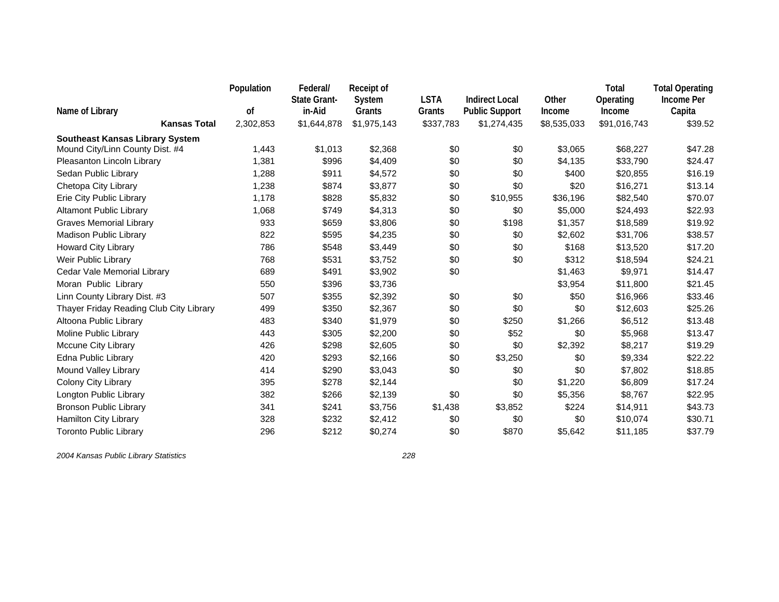|                                         | Population | Federal/<br><b>State Grant-</b> | <b>Receipt of</b> | <b>LSTA</b> | <b>Indirect Local</b> | Other       | Total<br>Operating | <b>Total Operating</b><br><b>Income Per</b> |
|-----------------------------------------|------------|---------------------------------|-------------------|-------------|-----------------------|-------------|--------------------|---------------------------------------------|
| Name of Library                         | οf         | in-Aid                          | System<br>Grants  | Grants      | <b>Public Support</b> | Income      | Income             | Capita                                      |
| <b>Kansas Total</b>                     | 2,302,853  | \$1,644,878                     | \$1,975,143       | \$337,783   | \$1,274,435           | \$8,535,033 | \$91,016,743       | \$39.52                                     |
| <b>Southeast Kansas Library System</b>  |            |                                 |                   |             |                       |             |                    |                                             |
| Mound City/Linn County Dist. #4         | 1,443      | \$1,013                         | \$2,368           | \$0         | \$0                   | \$3,065     | \$68,227           | \$47.28                                     |
| Pleasanton Lincoln Library              | 1,381      | \$996                           | \$4,409           | \$0         | \$0                   | \$4,135     | \$33,790           | \$24.47                                     |
| Sedan Public Library                    | 1,288      | \$911                           | \$4,572           | \$0         | \$0                   | \$400       | \$20,855           | \$16.19                                     |
| Chetopa City Library                    | 1,238      | \$874                           | \$3,877           | \$0         | \$0                   | \$20        | \$16,271           | \$13.14                                     |
| Erie City Public Library                | 1,178      | \$828                           | \$5,832           | \$0         | \$10,955              | \$36,196    | \$82,540           | \$70.07                                     |
| <b>Altamont Public Library</b>          | 1,068      | \$749                           | \$4,313           | \$0         | \$0                   | \$5,000     | \$24,493           | \$22.93                                     |
| <b>Graves Memorial Library</b>          | 933        | \$659                           | \$3,806           | \$0         | \$198                 | \$1,357     | \$18,589           | \$19.92                                     |
| <b>Madison Public Library</b>           | 822        | \$595                           | \$4,235           | \$0         | \$0                   | \$2,602     | \$31,706           | \$38.57                                     |
| Howard City Library                     | 786        | \$548                           | \$3,449           | \$0         | \$0                   | \$168       | \$13,520           | \$17.20                                     |
| Weir Public Library                     | 768        | \$531                           | \$3,752           | \$0         | \$0                   | \$312       | \$18,594           | \$24.21                                     |
| Cedar Vale Memorial Library             | 689        | \$491                           | \$3,902           | \$0         |                       | \$1,463     | \$9,971            | \$14.47                                     |
| Moran Public Library                    | 550        | \$396                           | \$3,736           |             |                       | \$3,954     | \$11,800           | \$21.45                                     |
| Linn County Library Dist. #3            | 507        | \$355                           | \$2,392           | \$0         | \$0                   | \$50        | \$16,966           | \$33.46                                     |
| Thayer Friday Reading Club City Library | 499        | \$350                           | \$2,367           | \$0         | \$0                   | \$0         | \$12,603           | \$25.26                                     |
| Altoona Public Library                  | 483        | \$340                           | \$1,979           | \$0         | \$250                 | \$1,266     | \$6,512            | \$13.48                                     |
| Moline Public Library                   | 443        | \$305                           | \$2,200           | \$0         | \$52                  | \$0         | \$5,968            | \$13.47                                     |
| Mccune City Library                     | 426        | \$298                           | \$2,605           | \$0         | \$0                   | \$2,392     | \$8,217            | \$19.29                                     |
| Edna Public Library                     | 420        | \$293                           | \$2,166           | \$0         | \$3,250               | \$0         | \$9,334            | \$22.22                                     |
| Mound Valley Library                    | 414        | \$290                           | \$3,043           | \$0         | \$0                   | \$0         | \$7,802            | \$18.85                                     |
| Colony City Library                     | 395        | \$278                           | \$2,144           |             | \$0                   | \$1,220     | \$6,809            | \$17.24                                     |
| Longton Public Library                  | 382        | \$266                           | \$2,139           | \$0         | \$0                   | \$5,356     | \$8,767            | \$22.95                                     |
| <b>Bronson Public Library</b>           | 341        | \$241                           | \$3,756           | \$1,438     | \$3,852               | \$224       | \$14,911           | \$43.73                                     |
| <b>Hamilton City Library</b>            | 328        | \$232                           | \$2,412           | \$0         | \$0                   | \$0         | \$10,074           | \$30.71                                     |
| <b>Toronto Public Library</b>           | 296        | \$212                           | \$0,274           | \$0         | \$870                 | \$5,642     | \$11,185           | \$37.79                                     |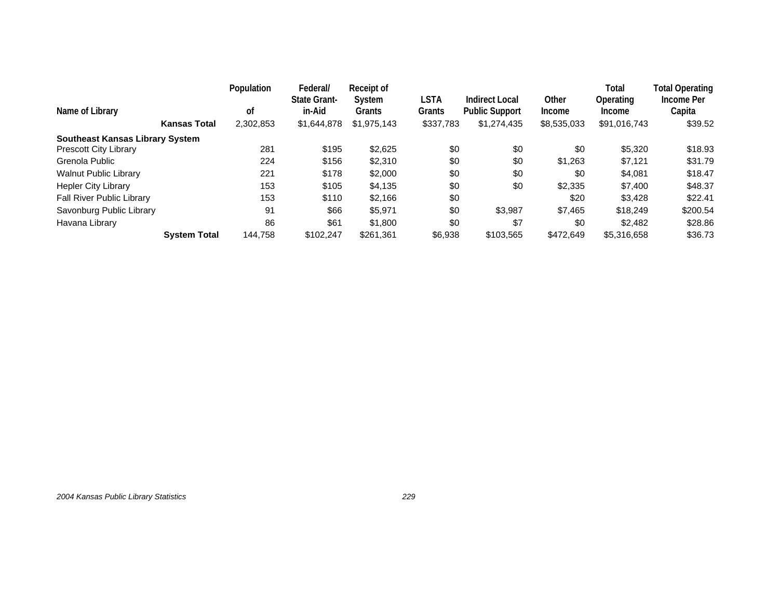| Name of Library                        | <b>Kansas Total</b> | Population<br>οf<br>2,302,853 | Federal/<br><b>State Grant-</b><br>in-Aid<br>\$1,644,878 | Receipt of<br>System<br>Grants<br>\$1,975,143 | LSTA<br>Grants<br>\$337,783 | Indirect Local<br><b>Public Support</b><br>\$1,274,435 | Other<br><b>Income</b><br>\$8,535,033 | Total<br>Operating<br>Income<br>\$91,016,743 | Total Operating<br>Income Per<br>Capita<br>\$39.52 |
|----------------------------------------|---------------------|-------------------------------|----------------------------------------------------------|-----------------------------------------------|-----------------------------|--------------------------------------------------------|---------------------------------------|----------------------------------------------|----------------------------------------------------|
| <b>Southeast Kansas Library System</b> |                     |                               |                                                          |                                               |                             |                                                        |                                       |                                              |                                                    |
| <b>Prescott City Library</b>           |                     | 281                           | \$195                                                    | \$2,625                                       | \$0                         | \$0                                                    | \$0                                   | \$5,320                                      | \$18.93                                            |
| Grenola Public                         |                     | 224                           | \$156                                                    | \$2,310                                       | \$0                         | \$0                                                    | \$1.263                               | \$7.121                                      | \$31.79                                            |
| <b>Walnut Public Library</b>           |                     | 221                           | \$178                                                    | \$2,000                                       | \$0                         | \$0                                                    | \$0                                   | \$4,081                                      | \$18.47                                            |
| <b>Hepler City Library</b>             |                     | 153                           | \$105                                                    | \$4,135                                       | \$0                         | \$0                                                    | \$2,335                               | \$7,400                                      | \$48.37                                            |
| <b>Fall River Public Library</b>       |                     | 153                           | \$110                                                    | \$2.166                                       | \$0                         |                                                        | \$20                                  | \$3.428                                      | \$22.41                                            |
| Savonburg Public Library               |                     | 91                            | \$66                                                     | \$5,971                                       | \$0                         | \$3,987                                                | \$7.465                               | \$18,249                                     | \$200.54                                           |
| Havana Library                         |                     | 86                            | \$61                                                     | \$1,800                                       | \$0                         | \$7                                                    | \$0                                   | \$2.482                                      | \$28.86                                            |
|                                        | <b>System Total</b> | 144.758                       | \$102.247                                                | \$261.361                                     | \$6,938                     | \$103.565                                              | \$472.649                             | \$5,316,658                                  | \$36.73                                            |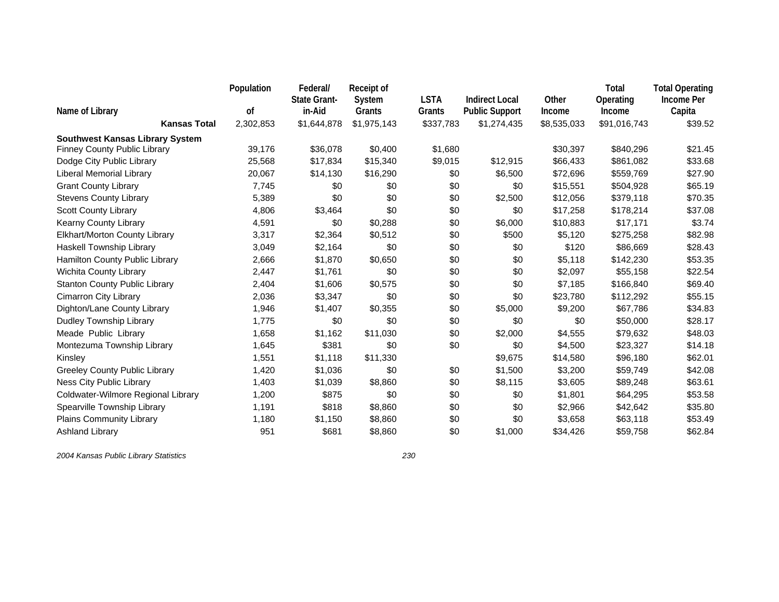|                                        | Population | Federal/<br><b>State Grant-</b> | <b>Receipt of</b><br>System | <b>LSTA</b> | <b>Indirect Local</b> | Other       | Total<br>Operating | <b>Total Operating</b><br><b>Income Per</b> |
|----------------------------------------|------------|---------------------------------|-----------------------------|-------------|-----------------------|-------------|--------------------|---------------------------------------------|
| Name of Library                        | οf         | in-Aid                          | Grants                      | Grants      | <b>Public Support</b> | Income      | Income             | Capita                                      |
| <b>Kansas Total</b>                    | 2,302,853  | \$1,644,878                     | \$1,975,143                 | \$337,783   | \$1,274,435           | \$8,535,033 | \$91,016,743       | \$39.52                                     |
| <b>Southwest Kansas Library System</b> |            |                                 |                             |             |                       |             |                    |                                             |
| <b>Finney County Public Library</b>    | 39,176     | \$36,078                        | \$0,400                     | \$1,680     |                       | \$30,397    | \$840,296          | \$21.45                                     |
| Dodge City Public Library              | 25,568     | \$17,834                        | \$15,340                    | \$9,015     | \$12,915              | \$66,433    | \$861,082          | \$33.68                                     |
| Liberal Memorial Library               | 20,067     | \$14,130                        | \$16,290                    | \$0         | \$6,500               | \$72,696    | \$559,769          | \$27.90                                     |
| <b>Grant County Library</b>            | 7,745      | \$0                             | \$0                         | \$0         | \$0                   | \$15,551    | \$504,928          | \$65.19                                     |
| <b>Stevens County Library</b>          | 5,389      | \$0                             | \$0                         | \$0         | \$2,500               | \$12,056    | \$379,118          | \$70.35                                     |
| <b>Scott County Library</b>            | 4,806      | \$3,464                         | \$0                         | \$0         | \$0                   | \$17,258    | \$178,214          | \$37.08                                     |
| Kearny County Library                  | 4,591      | \$0                             | \$0,288                     | \$0         | \$6,000               | \$10,883    | \$17,171           | \$3.74                                      |
| Elkhart/Morton County Library          | 3,317      | \$2,364                         | \$0,512                     | \$0         | \$500                 | \$5,120     | \$275,258          | \$82.98                                     |
| Haskell Township Library               | 3,049      | \$2,164                         | \$0                         | \$0         | \$0                   | \$120       | \$86,669           | \$28.43                                     |
| Hamilton County Public Library         | 2,666      | \$1,870                         | \$0,650                     | \$0         | \$0                   | \$5,118     | \$142,230          | \$53.35                                     |
| Wichita County Library                 | 2,447      | \$1,761                         | \$0                         | \$0         | \$0                   | \$2,097     | \$55,158           | \$22.54                                     |
| <b>Stanton County Public Library</b>   | 2,404      | \$1,606                         | \$0,575                     | \$0         | \$0                   | \$7,185     | \$166,840          | \$69.40                                     |
| Cimarron City Library                  | 2,036      | \$3,347                         | \$0                         | \$0         | \$0                   | \$23,780    | \$112,292          | \$55.15                                     |
| Dighton/Lane County Library            | 1,946      | \$1,407                         | \$0,355                     | \$0         | \$5,000               | \$9,200     | \$67,786           | \$34.83                                     |
| Dudley Township Library                | 1,775      | \$0                             | \$0                         | \$0         | \$0                   | \$0         | \$50,000           | \$28.17                                     |
| Meade Public Library                   | 1,658      | \$1,162                         | \$11,030                    | \$0         | \$2,000               | \$4,555     | \$79,632           | \$48.03                                     |
| Montezuma Township Library             | 1,645      | \$381                           | \$0                         | \$0         | \$0                   | \$4,500     | \$23,327           | \$14.18                                     |
| Kinsley                                | 1,551      | \$1,118                         | \$11,330                    |             | \$9,675               | \$14,580    | \$96,180           | \$62.01                                     |
| <b>Greeley County Public Library</b>   | 1,420      | \$1,036                         | \$0                         | \$0         | \$1,500               | \$3,200     | \$59,749           | \$42.08                                     |
| Ness City Public Library               | 1,403      | \$1,039                         | \$8,860                     | \$0         | \$8,115               | \$3,605     | \$89,248           | \$63.61                                     |
| Coldwater-Wilmore Regional Library     | 1,200      | \$875                           | \$0                         | \$0         | \$0                   | \$1,801     | \$64,295           | \$53.58                                     |
| Spearville Township Library            | 1,191      | \$818                           | \$8,860                     | \$0         | \$0                   | \$2,966     | \$42,642           | \$35.80                                     |
| Plains Community Library               | 1,180      | \$1,150                         | \$8,860                     | \$0         | \$0                   | \$3,658     | \$63,118           | \$53.49                                     |
| <b>Ashland Library</b>                 | 951        | \$681                           | \$8,860                     | \$0         | \$1,000               | \$34,426    | \$59,758           | \$62.84                                     |